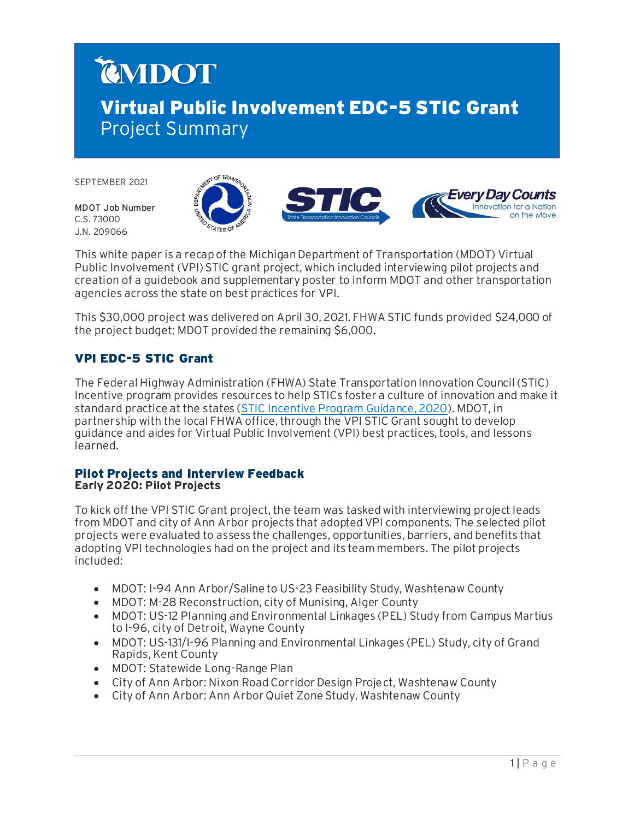# CMDOT Virtual Public Involvement EDC-5 STIC Grant Project Summary

SEPTEMBER 2021

MDOT Job Number C.S. 73000 J.N. 209066





This white paper is a recap of the Michigan Department of Transportation (MDOT) Virtual Public Involvement (VPI) STIC grant project, which included interviewing pilot projects and creation of a guidebook and supplementary poster to inform MDOT and other transportation agencies across the state on best practices for VPI.

This \$30,000 project was delivered on April 30, 2021. FHWA STIC funds provided \$24,000 of the project budget; MDOT provided the remaining \$6,000.

## VPI EDC-5 STIC Grant

The Federal Highway Administration (FHWA) State Transportation Innovation Council (STIC) Incentive program provides resources to help STICs foster a culture of innovation and make it standard practice at the states [\(STIC Incentive Program Guidance, 2020](https://www.fhwa.dot.gov/innovation/stic/guidance.cfm)). MDOT, in partnership with the local FHWA office, through the VPI STIC Grant sought to develop guidance and aides for Virtual Public Involvement (VPI) best practices, tools, and lessons learned.

#### Pilot Projects and Interview Feedback **Early 2020: Pilot Projects**

To kick off the VPI STIC Grant project, the team was tasked with interviewing project leads from MDOT and city of Ann Arbor projects that adopted VPI components. The selected pilot projects were evaluated to assess the challenges, opportunities, barriers, and benefits that adopting VPI technologies had on the project and its team members. The pilot projects included:

- MDOT: I-94 Ann Arbor/Saline to US-23 Feasibility Study, Washtenaw County
- MDOT: M-28 Reconstruction, city of Munising, Alger County
- MDOT: US-12 Planning and Environmental Linkages (PEL) Study from Campus Martius to I-96, city of Detroit, Wayne County
- MDOT: US-131/I-96 Planning and Environmental Linkages (PEL) Study, city of Grand Rapids, Kent County
- MDOT: Statewide Long-Range Plan
- City of Ann Arbor: Nixon Road Corridor Design Project, Washtenaw County
- City of Ann Arbor: Ann Arbor Quiet Zone Study, Washtenaw County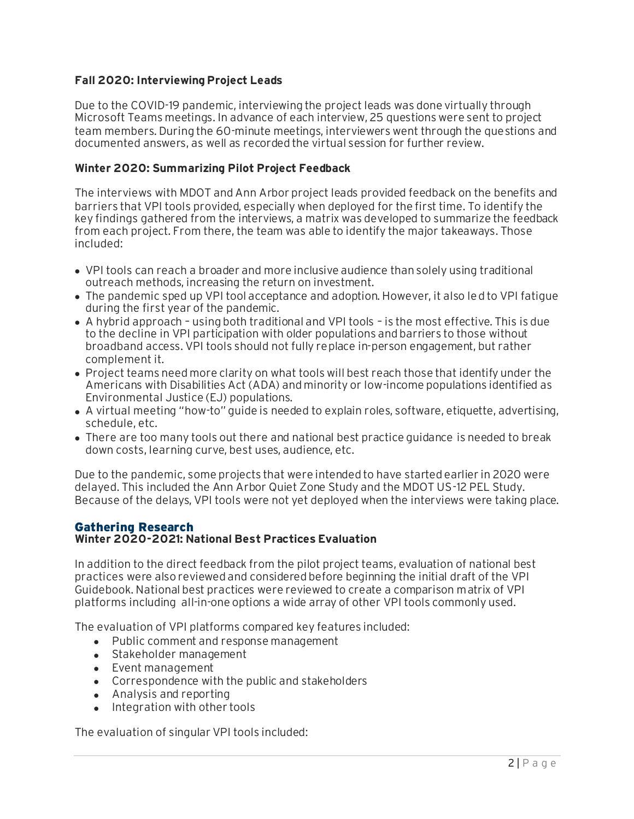#### **Fall 2020: Interviewing Project Leads**

Due to the COVID-19 pandemic, interviewing the project leads was done virtually through Microsoft Teams meetings. In advance of each interview, 25 questions were sent to project team members. During the 60-minute meetings, interviewers went through the questions and documented answers, as well as recorded the virtual session for further review.

#### **Winter 2020: Summarizing Pilot Project Feedback**

The interviews with MDOT and Ann Arbor project leads provided feedback on the benefits and barriers that VPI tools provided, especially when deployed for the first time. To identify the key findings gathered from the interviews, a matrix was developed to summarize the feedback from each project. From there, the team was able to identify the major takeaways. Those included:

- VPI tools can reach a broader and more inclusive audience than solely using traditional outreach methods, increasing the return on investment.
- The pandemic sped up VPI tool acceptance and adoption. However, it also led to VPI fatigue during the first year of the pandemic.
- A hybrid approach using both traditional and VPI tools is the most effective. This is due to the decline in VPI participation with older populations and barriers to those without broadband access. VPI tools should not fully replace in-person engagement, but rather complement it.
- Project teams need more clarity on what tools will best reach those that identify under the Americans with Disabilities Act (ADA) and minority or low-income populations identified as Environmental Justice (EJ) populations.
- A virtual meeting "how-to" guide is needed to explain roles, software, etiquette, advertising, schedule, etc.
- There are too many tools out there and national best practice guidance is needed to break down costs, learning curve, best uses, audience, etc.

Due to the pandemic, some projects that were intended to have started earlier in 2020 were delayed. This included the Ann Arbor Quiet Zone Study and the MDOT US-12 PEL Study. Because of the delays, VPI tools were not yet deployed when the interviews were taking place.

#### Gathering Research **Winter 2020-2021: National Best Practices Evaluation**

In addition to the direct feedback from the pilot project teams, evaluation of national best practices were also reviewed and considered before beginning the initial draft of the VPI Guidebook. National best practices were reviewed to create a comparison matrix of VPI platforms including all-in-one options a wide array of other VPI tools commonly used.

The evaluation of VPI platforms compared key features included:

- Public comment and response management
- Stakeholder management
- Event management
- Correspondence with the public and stakeholders
- Analysis and reporting
- Integration with other tools

The evaluation of singular VPI tools included: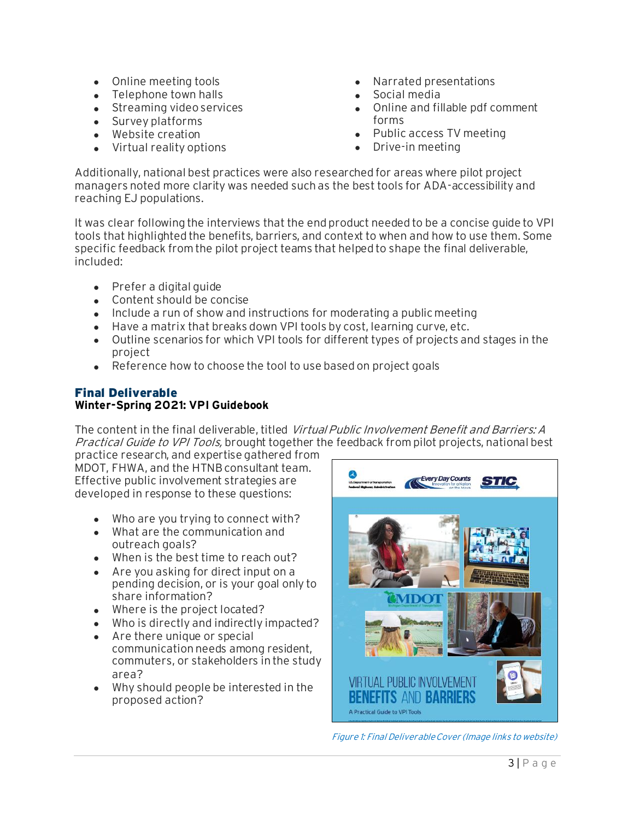- Online meeting tools
- Telephone town halls
- Streaming video services
- Survey platforms
- Website creation
- Virtual reality options
- Narrated presentations
- Social media
- Online and fillable pdf comment forms
- Public access TV meeting
- Drive-in meeting

Additionally, national best practices were also researched for areas where pilot project managers noted more clarity was needed such as the best tools for ADA-accessibility and reaching EJ populations.

It was clear following the interviews that the end product needed to be a concise guide to VPI tools that highlighted the benefits, barriers, and context to when and how to use them. Some specific feedback from the pilot project teams that helped to shape the final deliverable, included:

- Prefer a digital guide
- Content should be concise
- Include a run of show and instructions for moderating a public meeting
- Have a matrix that breaks down VPI tools by cost, learning curve, etc.
- Outline scenarios for which VPI tools for different types of projects and stages in the project
- Reference how to choose the tool to use based on project goals

#### Final Deliverable **Winter-Spring 2021: VPI Guidebook**

The content in the final deliverable, titled Virtual Public Involvement Benefit and Barriers: A Practical Guide to VPI Tools, brought together the feedback from pilot projects, national best

practice research, and expertise gathered from MDOT, FHWA, and the HTNB consultant team. Effective public involvement strategies are developed in response to these questions:

- Who are you trying to connect with?
- What are the communication and outreach goals?
- When is the best time to reach out?
- Are you asking for direct input on a pending decision, or is your goal only to share information?
- Where is the project located?
- Who is directly and indirectly impacted?
- Are there unique or special communication needs among resident, commuters, or stakeholders in the study area?
- Why should people be interested in the proposed action?



Figure 1: Final Deliverable Cover (Image links to website)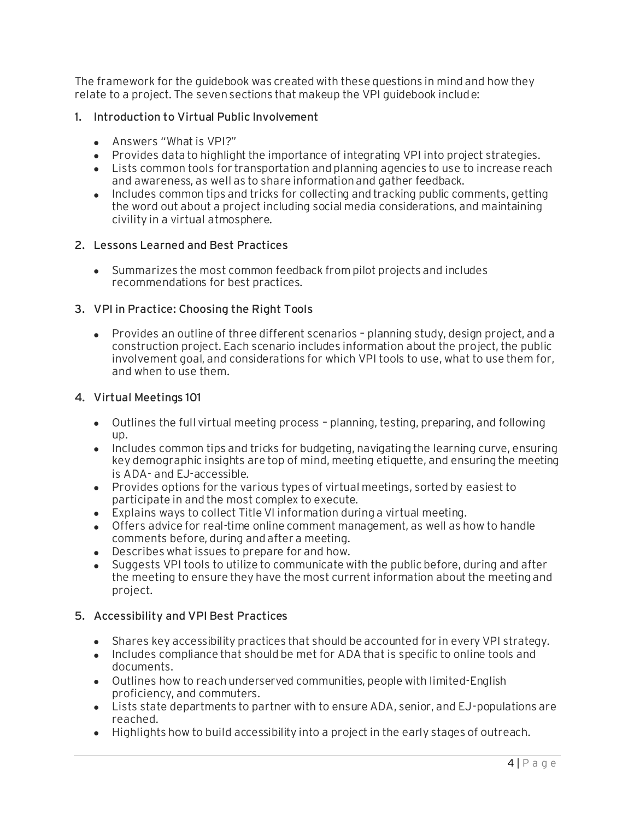The framework for the guidebook was created with these questions in mind and how they relate to a project. The seven sections that makeup the VPI guidebook include:

#### 1. Introduction to Virtual Public Involvement

- Answers "What is VPI?"
- Provides data to highlight the importance of integrating VPI into project strategies.
- Lists common tools for transportation and planning agencies to use to increase reach and awareness, as well as to share information and gather feedback.
- Includes common tips and tricks for collecting and tracking public comments, getting the word out about a project including social media considerations, and maintaining civility in a virtual atmosphere.

#### 2. Lessons Learned and Best Practices

• Summarizes the most common feedback from pilot projects and includes recommendations for best practices.

### 3. VPI in Practice: Choosing the Right Tools

• Provides an outline of three different scenarios – planning study, design project, and a construction project. Each scenario includes information about the project, the public involvement goal, and considerations for which VPI tools to use, what to use them for, and when to use them.

#### 4. Virtual Meetings 101

- Outlines the full virtual meeting process planning, testing, preparing, and following up.
- Includes common tips and tricks for budgeting, navigating the learning curve, ensuring key demographic insights are top of mind, meeting etiquette, and ensuring the meeting is ADA- and EJ-accessible.
- Provides options for the various types of virtual meetings, sorted by easiest to participate in and the most complex to execute.
- Explains ways to collect Title VI information during a virtual meeting.
- Offers advice for real-time online comment management, as well as how to handle comments before, during and after a meeting.
- Describes what issues to prepare for and how.
- Suggests VPI tools to utilize to communicate with the public before, during and after the meeting to ensure they have the most current information about the meeting and project.

#### 5. Accessibility and VPI Best Practices

- Shares key accessibility practices that should be accounted for in every VPI strategy.
- Includes compliance that should be met for ADA that is specific to online tools and documents.
- Outlines how to reach underserved communities, people with limited-English proficiency, and commuters.
- Lists state departments to partner with to ensure ADA, senior, and EJ-populations are reached.
- Highlights how to build accessibility into a project in the early stages of outreach.